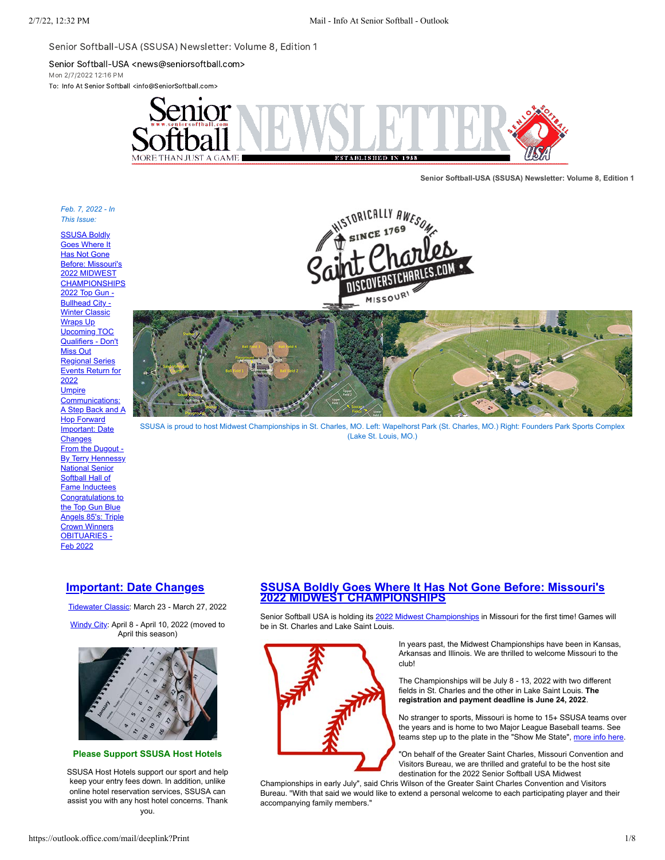Senior Softball-USA (SSUSA) Newsletter: Volume 8, Edition 1

Senior Softball-USA <news@seniorsoftball.com>

Mon 2/7/2022 12:16 PM To: Info At Senior Softball <info@SeniorSoftball.com>



**Senior Softball-USA (SSUSA) Newsletter: Volume 8, Edition 1**

### *Feb. 7, 2022 - In This Issue:*

**SSUSA Boldly** Goes Where It Has Not Gone Before: Missouri's 2022 MIDWEST **[CHAMPIONSHIPS](#page-0-0)** [2022 Top Gun -](#page-1-0) Bullhead City -**Winter Classic** Wraps Up Upcoming TOC [Qualifiers - Don't](#page-3-0) Miss Out Regional Series [Events Return for](#page-5-0) 2022 **Umpire** Communications: [A Step Back and A](#page-6-0) Hop Forward [Important: Date](#page-0-1) **Changes** [From the Dugout -](#page-1-1) **By Terry Hennessy** National Senior **Softball Hall of** [Fame Inductees](#page-1-2) Congratulations to the Top Gun Blue [Angels 85's: Triple](#page-2-0) Crown Winners [OBITUARIES -](#page-2-1) Feb 2022





SSUSA is proud to host Midwest Championships in St. Charles, MO. Left: Wapelhorst Park (St. Charles, MO.) Right: Founders Park Sports Complex (Lake St. Louis, MO.)

# <span id="page-0-1"></span>**[Important: Date Changes](https://mandrillapp.com/track/click/30606666/seniorsoftball.com?p=eyJzIjoicDBSem5TRDllR19XMFhHaWNMaHNCc0ROMGNVIiwidiI6MSwicCI6IntcInVcIjozMDYwNjY2NixcInZcIjoxLFwidXJsXCI6XCJodHRwczpcXFwvXFxcL3NlbmlvcnNvZnRiYWxsLmNvbVxcXC8_bmV3cyZzdG9yeT0xODY3XCIsXCJpZFwiOlwiYmM2ODk2ZjIwOWM5NDgzZWI3MzVhNWQ4ODg2YjYwM2NcIixcInVybF9pZHNcIjpbXCJlNWU4MWZkMjc5ODZmMDdlOTJiZTQyZmM1NWM1MjM5MzU3MjcxYzQ4XCJdfSJ9)**

[Tidewater Classic](https://mandrillapp.com/track/click/30606666/seniorsoftball.com?p=eyJzIjoiWXFZYThGbEZUV1p3OUQ2VmpDa0tjN08zWVNFIiwidiI6MSwicCI6IntcInVcIjozMDYwNjY2NixcInZcIjoxLFwidXJsXCI6XCJodHRwczpcXFwvXFxcL3NlbmlvcnNvZnRiYWxsLmNvbVxcXC8_ZXZlbnQ9MTY3NVwiLFwiaWRcIjpcImJjNjg5NmYyMDljOTQ4M2ViNzM1YTVkODg4NmI2MDNjXCIsXCJ1cmxfaWRzXCI6W1wiZTVlODFmZDI3OTg2ZjA3ZTkyYmU0MmZjNTVjNTIzOTM1NzI3MWM0OFwiXX0ifQ): March 23 - March 27, 2022

[Windy City:](https://mandrillapp.com/track/click/30606666/seniorsoftball.com?p=eyJzIjoiWVFPelJzRnZJVTF5bzVZYm1USVp3Z2hkQWNFIiwidiI6MSwicCI6IntcInVcIjozMDYwNjY2NixcInZcIjoxLFwidXJsXCI6XCJodHRwczpcXFwvXFxcL3NlbmlvcnNvZnRiYWxsLmNvbVxcXC8_ZXZlbnQ9MTc0NVwiLFwiaWRcIjpcImJjNjg5NmYyMDljOTQ4M2ViNzM1YTVkODg4NmI2MDNjXCIsXCJ1cmxfaWRzXCI6W1wiZTVlODFmZDI3OTg2ZjA3ZTkyYmU0MmZjNTVjNTIzOTM1NzI3MWM0OFwiXX0ifQ) April 8 - April 10, 2022 (moved to April this season)



# **Please Support SSUSA Host Hotels**

SSUSA Host Hotels support our sport and help keep your entry fees down. In addition, unlike online hotel reservation services, SSUSA can assist you with any host hotel concerns. Thank you.

# <span id="page-0-0"></span>**[SSUSA Boldly Goes Where It Has Not Gone Before: Missouri's](https://mandrillapp.com/track/click/30606666/seniorsoftball.com?p=eyJzIjoiMG12TkVtSDVLbzVKUG1wWmFUTXE2REVTUGRvIiwidiI6MSwicCI6IntcInVcIjozMDYwNjY2NixcInZcIjoxLFwidXJsXCI6XCJodHRwczpcXFwvXFxcL3NlbmlvcnNvZnRiYWxsLmNvbVxcXC8_bmV3cyZzdG9yeT0xODYzXCIsXCJpZFwiOlwiYmM2ODk2ZjIwOWM5NDgzZWI3MzVhNWQ4ODg2YjYwM2NcIixcInVybF9pZHNcIjpbXCJlNWU4MWZkMjc5ODZmMDdlOTJiZTQyZmM1NWM1MjM5MzU3MjcxYzQ4XCJdfSJ9) 2022 MIDWEST CHAMPIONSHIPS**

Senior Softball USA is holding its [2022 Midwest Championships](https://mandrillapp.com/track/click/30606666/seniorsoftball.com?p=eyJzIjoiRGJXSE1GSEFGUkE4dFJDTWMwcDQtTDZnWUlVIiwidiI6MSwicCI6IntcInVcIjozMDYwNjY2NixcInZcIjoxLFwidXJsXCI6XCJodHRwczpcXFwvXFxcL3NlbmlvcnNvZnRiYWxsLmNvbVxcXC8_ZXZlbnQ9MTc2NVwiLFwiaWRcIjpcImJjNjg5NmYyMDljOTQ4M2ViNzM1YTVkODg4NmI2MDNjXCIsXCJ1cmxfaWRzXCI6W1wiZTVlODFmZDI3OTg2ZjA3ZTkyYmU0MmZjNTVjNTIzOTM1NzI3MWM0OFwiXX0ifQ) in Missouri for the first time! Games will be in St. Charles and Lake Saint Louis.



In years past, the Midwest Championships have been in Kansas, Arkansas and Illinois. We are thrilled to welcome Missouri to the club!

The Championships will be July 8 - 13, 2022 with two different fields in St. Charles and the other in Lake Saint Louis. **The registration and payment deadline is June 24, 2022**.

No stranger to sports, Missouri is home to 15+ SSUSA teams over the years and is home to two Major League Baseball teams. See teams step up to the plate in the "Show Me State", [more info here](https://mandrillapp.com/track/click/30606666/seniorsoftball.com?p=eyJzIjoiRGJXSE1GSEFGUkE4dFJDTWMwcDQtTDZnWUlVIiwidiI6MSwicCI6IntcInVcIjozMDYwNjY2NixcInZcIjoxLFwidXJsXCI6XCJodHRwczpcXFwvXFxcL3NlbmlvcnNvZnRiYWxsLmNvbVxcXC8_ZXZlbnQ9MTc2NVwiLFwiaWRcIjpcImJjNjg5NmYyMDljOTQ4M2ViNzM1YTVkODg4NmI2MDNjXCIsXCJ1cmxfaWRzXCI6W1wiZTVlODFmZDI3OTg2ZjA3ZTkyYmU0MmZjNTVjNTIzOTM1NzI3MWM0OFwiXX0ifQ).

"On behalf of the Greater Saint Charles, Missouri Convention and Visitors Bureau, we are thrilled and grateful to be the host site destination for the 2022 Senior Softball USA Midwest

Championships in early July", said Chris Wilson of the Greater Saint Charles Convention and Visitors Bureau. "With that said we would like to extend a personal welcome to each participating player and their accompanying family members."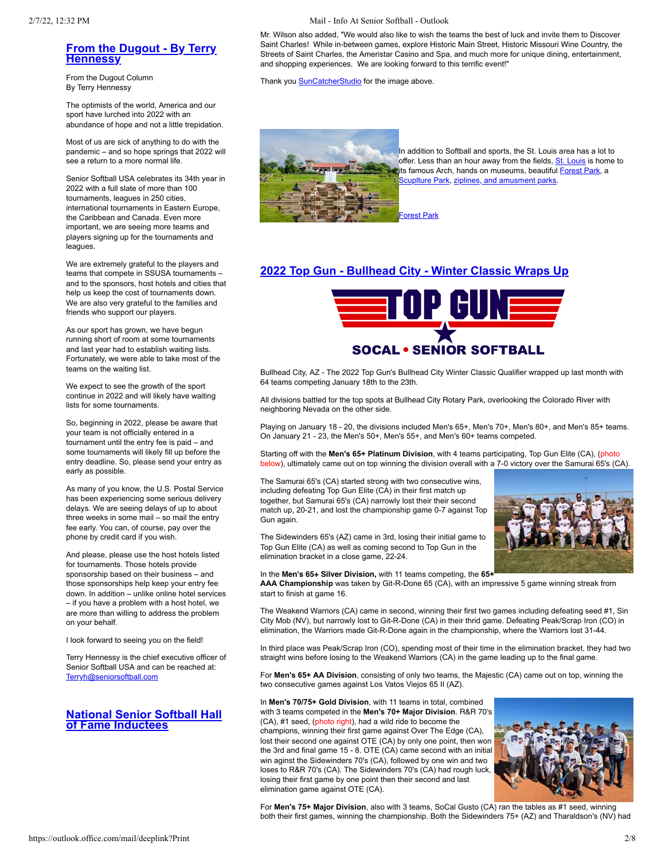# <span id="page-1-1"></span>**[From the Dugout - By Terry](https://mandrillapp.com/track/click/30606666/seniorsoftball.com?p=eyJzIjoidE9XR0o0Yk4tank1cXdaUmNZdFlBUDU2UEJRIiwidiI6MSwicCI6IntcInVcIjozMDYwNjY2NixcInZcIjoxLFwidXJsXCI6XCJodHRwczpcXFwvXFxcL3NlbmlvcnNvZnRiYWxsLmNvbVxcXC8_bmV3cyZzdG9yeT0xODcyXCIsXCJpZFwiOlwiYmM2ODk2ZjIwOWM5NDgzZWI3MzVhNWQ4ODg2YjYwM2NcIixcInVybF9pZHNcIjpbXCJlNWU4MWZkMjc5ODZmMDdlOTJiZTQyZmM1NWM1MjM5MzU3MjcxYzQ4XCJdfSJ9) Hennessy**

From the Dugout Column By Terry Hennessy

The optimists of the world, America and our sport have lurched into 2022 with an abundance of hope and not a little trepidation.

Most of us are sick of anything to do with the pandemic – and so hope springs that 2022 will see a return to a more normal life.

Senior Softball USA celebrates its 34th year in 2022 with a full slate of more than 100 tournaments, leagues in 250 cities, international tournaments in Eastern Europe, the Caribbean and Canada. Even more important, we are seeing more teams and players signing up for the tournaments and leagues.

We are extremely grateful to the players and teams that compete in SSUSA tournaments – and to the sponsors, host hotels and cities that help us keep the cost of tournaments down. We are also very grateful to the families and friends who support our players.

As our sport has grown, we have begun running short of room at some tournaments and last year had to establish waiting lists. Fortunately, we were able to take most of the teams on the waiting list.

We expect to see the growth of the sport continue in 2022 and will likely have waiting lists for some tournaments.

So, beginning in 2022, please be aware that your team is not officially entered in a tournament until the entry fee is paid – and some tournaments will likely fill up before the entry deadline. So, please send your entry as early as possible.

As many of you know, the U.S. Postal Service has been experiencing some serious delivery delays. We are seeing delays of up to about three weeks in some mail – so mail the entry fee early. You can, of course, pay over the phone by credit card if you wish.

And please, please use the host hotels listed for tournaments. Those hotels provide sponsorship based on their business – and those sponsorships help keep your entry fee down. In addition – unlike online hotel services – if you have a problem with a host hotel, we are more than willing to address the problem on your behalf.

I look forward to seeing you on the field!

Terry Hennessy is the chief executive officer of Senior Softball USA and can be reached at: [Terryh@seniorsoftball.com](mailto:Terryh@seniorsoftball.com)

# <span id="page-1-2"></span>**[National Senior Softball Hall](https://mandrillapp.com/track/click/30606666/seniorsoftball.com?p=eyJzIjoiZUJjTVdDekpua2NEU01JWDNlc1JwWTB2OWRzIiwidiI6MSwicCI6IntcInVcIjozMDYwNjY2NixcInZcIjoxLFwidXJsXCI6XCJodHRwczpcXFwvXFxcL3NlbmlvcnNvZnRiYWxsLmNvbVxcXC8_bmV3cyZzdG9yeT0xODcwXCIsXCJpZFwiOlwiYmM2ODk2ZjIwOWM5NDgzZWI3MzVhNWQ4ODg2YjYwM2NcIixcInVybF9pZHNcIjpbXCJlNWU4MWZkMjc5ODZmMDdlOTJiZTQyZmM1NWM1MjM5MzU3MjcxYzQ4XCJdfSJ9) of Fame Inductees**

2/7/22, 12:32 PM Mail - Info At Senior Softball - Outlook

Mr. Wilson also added, "We would also like to wish the teams the best of luck and invite them to Discover Saint Charles! While in-between games, explore Historic Main Street, Historic Missouri Wine Country, the Streets of Saint Charles, the Ameristar Casino and Spa, and much more for unique dining, entertainment, and shopping experiences. We are looking forward to this terrific event!"

Thank you **SunCatcherStudio** for the image above.



In addition to Softball and sports, the St. Louis area has a lot to offer. Less than an hour away from the fields, [St. Louis](https://mandrillapp.com/track/click/30606666/explorestlouis.com?p=eyJzIjoiTHpxTGJwYlIwb1gwa0ZHNmgzbThQU05UU2UwIiwidiI6MSwicCI6IntcInVcIjozMDYwNjY2NixcInZcIjoxLFwidXJsXCI6XCJodHRwczpcXFwvXFxcL2V4cGxvcmVzdGxvdWlzLmNvbVxcXC8yNS10aGluZ3MtdG8tZG8taW4tc3QtbG91aXNcXFwvXCIsXCJpZFwiOlwiYmM2ODk2ZjIwOWM5NDgzZWI3MzVhNWQ4ODg2YjYwM2NcIixcInVybF9pZHNcIjpbXCI4ZGNiYzZmYTU0NTYxNDAzOGE2N2M5NDkwNjZiNjAyNWRkZDI3NmFhXCJdfSJ9) is home to its famous Arch, hands on museums, beautiful [Forest Park](https://mandrillapp.com/track/click/30606666/explorestlouis.com?p=eyJzIjoicG5IMXRpbzdPR04wbGI4MnNHcHhmNk1LdWtvIiwidiI6MSwicCI6IntcInVcIjozMDYwNjY2NixcInZcIjoxLFwidXJsXCI6XCJodHRwczpcXFwvXFxcL2V4cGxvcmVzdGxvdWlzLmNvbVxcXC9wYXJ0bmVyXFxcL2ZvcmVzdC1wYXJrXFxcL1wiLFwiaWRcIjpcImJjNjg5NmYyMDljOTQ4M2ViNzM1YTVkODg4NmI2MDNjXCIsXCJ1cmxfaWRzXCI6W1wiYjIyYzg5ZjYwYTY3MDQ4ZTRlZDFiODljNmExMTQzOGUwY2U1MDM1NVwiXX0ifQ), a cuplture Park, [ziplines, and amusment parks](https://mandrillapp.com/track/click/30606666/explorestlouis.com?p=eyJzIjoiTHpxTGJwYlIwb1gwa0ZHNmgzbThQU05UU2UwIiwidiI6MSwicCI6IntcInVcIjozMDYwNjY2NixcInZcIjoxLFwidXJsXCI6XCJodHRwczpcXFwvXFxcL2V4cGxvcmVzdGxvdWlzLmNvbVxcXC8yNS10aGluZ3MtdG8tZG8taW4tc3QtbG91aXNcXFwvXCIsXCJpZFwiOlwiYmM2ODk2ZjIwOWM5NDgzZWI3MzVhNWQ4ODg2YjYwM2NcIixcInVybF9pZHNcIjpbXCI4ZGNiYzZmYTU0NTYxNDAzOGE2N2M5NDkwNjZiNjAyNWRkZDI3NmFhXCJdfSJ9).

# <span id="page-1-0"></span>**[2022 Top Gun - Bullhead City - Winter Classic Wraps Up](https://mandrillapp.com/track/click/30606666/seniorsoftball.com?p=eyJzIjoiNkZGUmRZOEFIeFg4dUx2NE83N0NXRnVDREM0IiwidiI6MSwicCI6IntcInVcIjozMDYwNjY2NixcInZcIjoxLFwidXJsXCI6XCJodHRwczpcXFwvXFxcL3NlbmlvcnNvZnRiYWxsLmNvbVxcXC8_bmV3cyZzdG9yeT0xODcxXCIsXCJpZFwiOlwiYmM2ODk2ZjIwOWM5NDgzZWI3MzVhNWQ4ODg2YjYwM2NcIixcInVybF9pZHNcIjpbXCJlNWU4MWZkMjc5ODZmMDdlOTJiZTQyZmM1NWM1MjM5MzU3MjcxYzQ4XCJdfSJ9)**



Bullhead City, AZ - The 2022 Top Gun's Bullhead City Winter Classic Qualifier wrapped up last month with 64 teams competing January 18th to the 23th.

All divisions battled for the top spots at Bullhead City Rotary Park, overlooking the Colorado River with neighboring Nevada on the other side.

Playing on January 18 - 20, the divisions included Men's 65+, Men's 70+, Men's 80+, and Men's 85+ teams. On January 21 - 23, the Men's 50+, Men's 55+, and Men's 60+ teams competed.

Starting off with the **Men's 65+ Platinum Division**, with 4 teams participating, Top Gun Elite (CA), (photo below), ultimately came out on top winning the division overall with a 7-0 victory over the Samurai 65's (CA).

The Samurai 65's (CA) started strong with two consecutive wins, including defeating Top Gun Elite (CA) in their first match up together, but Samurai 65's (CA) narrowly lost their their second match up, 20-21, and lost the championship game 0-7 against Top Gun again.

The Sidewinders 65's (AZ) came in 3rd, losing their initial game to Top Gun Elite (CA) as well as coming second to Top Gun in the elimination bracket in a close game, 22-24.

# In the **Men's 65+ Silver Division,** with 11 teams competing, the **65+**

**AAA Championship** was taken by Git-R-Done 65 (CA), with an impressive 5 game winning streak from start to finish at game 16.

The Weakend Warriors (CA) came in second, winning their first two games including defeating seed #1, Sin City Mob (NV), but narrowly lost to Git-R-Done (CA) in their thrid game. Defeating Peak/Scrap Iron (CO) in elimination, the Warriors made Git-R-Done again in the championship, where the Warriors lost 31-44.

In third place was Peak/Scrap Iron (CO), spending most of their time in the elimination bracket, they had two straight wins before losing to the Weakend Warriors (CA) in the game leading up to the final game.

For **Men's 65+ AA Division**, consisting of only two teams, the Majestic (CA) came out on top, winning the two consecutive games against Los Vatos Viejos 65 II (AZ).

In **Men's 70/75+ Gold Division**, with 11 teams in total, combined with 3 teams competed in the **Men's 70+ Major Division**. R&R 70's (CA), #1 seed, (photo right), had a wild ride to become the champions, winning their first game against Over The Edge (CA), lost their second one against OTE (CA) by only one point, then won the 3rd and final game 15 - 8. OTE (CA) came second with an initial win aginst the Sidewinders 70's (CA), followed by one win and two loses to R&R 70's (CA). The Sidewinders 70's (CA) had rough luck, losing their first game by one point then their second and last elimination game against OTE (CA).



For **Men's 75+ Major Division**, also with 3 teams, SoCal Gusto (CA) ran the tables as #1 seed, winning both their first games, winning the championship. Both the Sidewinders 75+ (AZ) and Tharaldson's (NV) had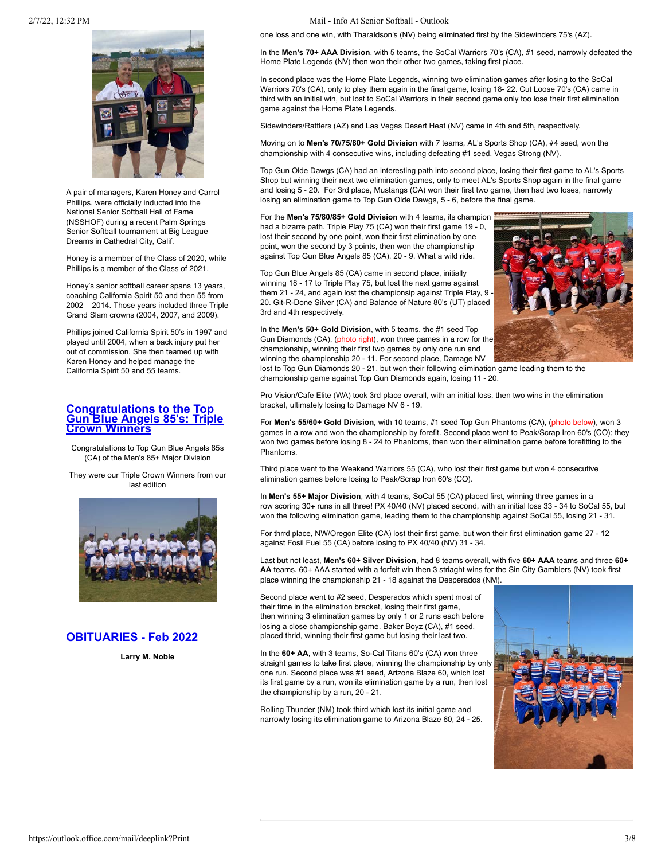

A pair of managers, Karen Honey and Carrol Phillips, were officially inducted into the National Senior Softball Hall of Fame (NSSHOF) during a recent Palm Springs Senior Softball tournament at Big League Dreams in Cathedral City, Calif.

Honey is a member of the Class of 2020, while Phillips is a member of the Class of 2021.

Honey's senior softball career spans 13 years, coaching California Spirit 50 and then 55 from 2002 – 2014. Those years included three Triple Grand Slam crowns (2004, 2007, and 2009).

Phillips joined California Spirit 50's in 1997 and played until 2004, when a back injury put her out of commission. She then teamed up with Karen Honey and helped manage the California Spirit 50 and 55 teams.

# <span id="page-2-0"></span>**Congratulations to the Top [Gun Blue Angels 85's: Triple](https://mandrillapp.com/track/click/30606666/seniorsoftball.com?p=eyJzIjoid1FoZzNHYmg3MmYxa0k4RFVDajB6S3V1TS1JIiwidiI6MSwicCI6IntcInVcIjozMDYwNjY2NixcInZcIjoxLFwidXJsXCI6XCJodHRwczpcXFwvXFxcL3NlbmlvcnNvZnRiYWxsLmNvbVxcXC8_bmV3cyZzdG9yeT0xODczXCIsXCJpZFwiOlwiYmM2ODk2ZjIwOWM5NDgzZWI3MzVhNWQ4ODg2YjYwM2NcIixcInVybF9pZHNcIjpbXCJlNWU4MWZkMjc5ODZmMDdlOTJiZTQyZmM1NWM1MjM5MzU3MjcxYzQ4XCJdfSJ9) Crown Winners**

Congratulations to Top Gun Blue Angels 85s (CA) of the Men's 85+ Major Division

They were our Triple Crown Winners from our last edition



# <span id="page-2-1"></span>**[OBITUARIES - Feb 2022](https://mandrillapp.com/track/click/30606666/seniorsoftball.com?p=eyJzIjoiSjRQamRLeHJpMk5Ralg3TjFCNjFRWlc0c08wIiwidiI6MSwicCI6IntcInVcIjozMDYwNjY2NixcInZcIjoxLFwidXJsXCI6XCJodHRwczpcXFwvXFxcL3NlbmlvcnNvZnRiYWxsLmNvbVxcXC8_bmV3cyZzdG9yeT0xODY0XCIsXCJpZFwiOlwiYmM2ODk2ZjIwOWM5NDgzZWI3MzVhNWQ4ODg2YjYwM2NcIixcInVybF9pZHNcIjpbXCJlNWU4MWZkMjc5ODZmMDdlOTJiZTQyZmM1NWM1MjM5MzU3MjcxYzQ4XCJdfSJ9)**

**Larry M. Noble**

2/7/22, 12:32 PM Mail - Info At Senior Softball - Outlook

one loss and one win, with Tharaldson's (NV) being eliminated first by the Sidewinders 75's (AZ).

In the **Men's 70+ AAA Division**, with 5 teams, the SoCal Warriors 70's (CA), #1 seed, narrowly defeated the Home Plate Legends (NV) then won their other two games, taking first place.

In second place was the Home Plate Legends, winning two elimination games after losing to the SoCal Warriors 70's (CA), only to play them again in the final game, losing 18- 22. Cut Loose 70's (CA) came in third with an initial win, but lost to SoCal Warriors in their second game only too lose their first elimination game against the Home Plate Legends.

Sidewinders/Rattlers (AZ) and Las Vegas Desert Heat (NV) came in 4th and 5th, respectively.

Moving on to **Men's 70/75/80+ Gold Division** with 7 teams, AL's Sports Shop (CA), #4 seed, won the championship with 4 consecutive wins, including defeating #1 seed, Vegas Strong (NV).

Top Gun Olde Dawgs (CA) had an interesting path into second place, losing their first game to AL's Sports Shop but winning their next two elimination games, only to meet AL's Sports Shop again in the final game and losing 5 - 20. For 3rd place, Mustangs (CA) won their first two game, then had two loses, narrowly losing an elimination game to Top Gun Olde Dawgs, 5 - 6, before the final game.

For the **Men's 75/80/85+ Gold Division** with 4 teams, its champion had a bizarre path. Triple Play 75 (CA) won their first game 19 - 0, lost their second by one point, won their first elimination by one point, won the second by 3 points, then won the championship against Top Gun Blue Angels 85 (CA), 20 - 9. What a wild ride.

Top Gun Blue Angels 85 (CA) came in second place, initially winning 18 - 17 to Triple Play 75, but lost the next game against them 21 - 24, and again lost the championsip against Triple Play, 9 20. Git-R-Done Silver (CA) and Balance of Nature 80's (UT) placed 3rd and 4th respectively.



In the **Men's 50+ Gold Division**, with 5 teams, the #1 seed Top Gun Diamonds (CA), (photo right), won three games in a row for the championship, winning their first two games by only one run and winning the championship 20 - 11. For second place, Damage NV

lost to Top Gun Diamonds 20 - 21, but won their following elimination game leading them to the championship game against Top Gun Diamonds again, losing 11 - 20.

Pro Vision/Cafe Elite (WA) took 3rd place overall, with an initial loss, then two wins in the elimination bracket, ultimately losing to Damage NV 6 - 19.

For **Men's 55/60+ Gold Division,** with 10 teams, #1 seed Top Gun Phantoms (CA), (photo below), won 3 games in a row and won the championship by forefit. Second place went to Peak/Scrap Iron 60's (CO); they won two games before losing 8 - 24 to Phantoms, then won their elimination game before forefitting to the Phantoms.

Third place went to the Weakend Warriors 55 (CA), who lost their first game but won 4 consecutive elimination games before losing to Peak/Scrap Iron 60's (CO).

In **Men's 55+ Major Division**, with 4 teams, SoCal 55 (CA) placed first, winning three games in a row scoring 30+ runs in all three! PX 40/40 (NV) placed second, with an initial loss 33 - 34 to SoCal 55, but won the following elimination game, leading them to the championship against SoCal 55, losing 21 - 31.

For thrrd place, NW/Oregon Elite (CA) lost their first game, but won their first elimination game 27 - 12 against Fosil Fuel 55 (CA) before losing to PX 40/40 (NV) 31 - 34.

Last but not least, **Men's 60+ Silver Division**, had 8 teams overall, with five **60+ AAA** teams and three **60+ AA** teams. 60+ AAA started with a forfeit win then 3 striaght wins for the Sin City Gamblers (NV) took first place winning the championship 21 - 18 against the Desperados (NM).

Second place went to #2 seed, Desperados which spent most of their time in the elimination bracket, losing their first game, then winning 3 elimination games by only 1 or 2 runs each before losing a close championship game. Baker Boyz (CA), #1 seed, placed thrid, winning their first game but losing their last two.

In the **60+ AA**, with 3 teams, So-Cal Titans 60's (CA) won three straight games to take first place, winning the championship by only one run. Second place was #1 seed, Arizona Blaze 60, which lost its first game by a run, won its elimination game by a run, then lost the championship by a run, 20 - 21.

Rolling Thunder (NM) took third which lost its initial game and narrowly losing its elimination game to Arizona Blaze 60, 24 - 25.

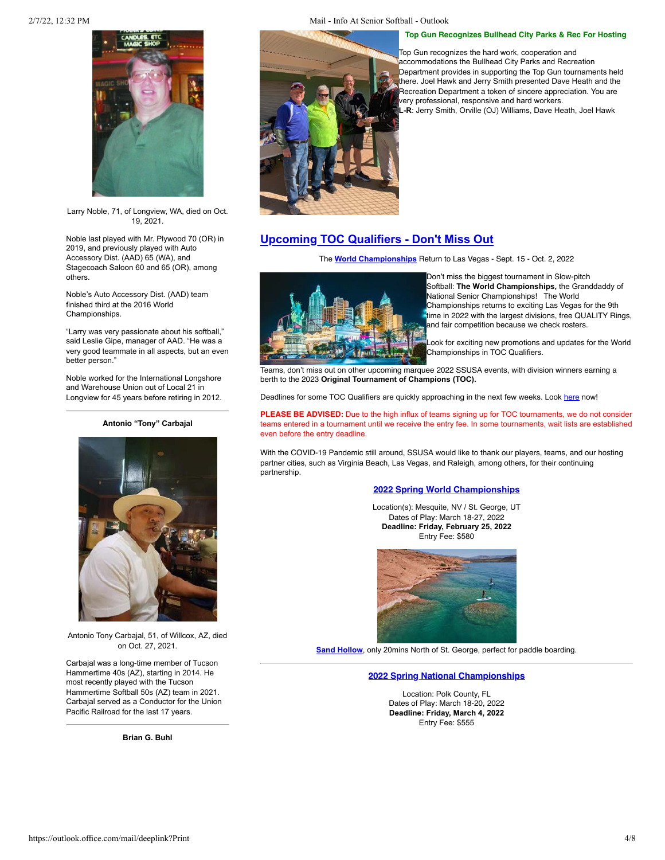

Larry Noble, 71, of Longview, WA, died on Oct. 19, 2021.

Noble last played with Mr. Plywood 70 (OR) in 2019, and previously played with Auto Accessory Dist. (AAD) 65 (WA), and Stagecoach Saloon 60 and 65 (OR), among others.

Noble's Auto Accessory Dist. (AAD) team finished third at the 2016 World Championships.

"Larry was very passionate about his softball," said Leslie Gipe, manager of AAD. "He was a very good teammate in all aspects, but an even better person."

Noble worked for the International Longshore and Warehouse Union out of Local 21 in Longview for 45 years before retiring in 2012.

### **Antonio "Tony" Carbajal**



Antonio Tony Carbajal, 51, of Willcox, AZ, died on Oct. 27, 2021.

Carbajal was a long-time member of Tucson Hammertime 40s (AZ), starting in 2014. He most recently played with the Tucson Hammertime Softball 50s (AZ) team in 2021. Carbajal served as a Conductor for the Union Pacific Railroad for the last 17 years.

**Brian G. Buhl**

### 2/7/22, 12:32 PM Mail - Info At Senior Softball - Outlook

# **Top Gun Recognizes Bullhead City Parks & Rec For Hosting**



Top Gun recognizes the hard work, cooperation and accommodations the Bullhead City Parks and Recreation Department provides in supporting the Top Gun tournaments held there. Joel Hawk and Jerry Smith presented Dave Heath and the Recreation Department a token of sincere appreciation. You are very professional, responsive and hard workers. **L-R**: Jerry Smith, Orville (OJ) Williams, Dave Heath, Joel Hawk

# <span id="page-3-0"></span>**[Upcoming TOC Qualifiers - Don't Miss Out](https://mandrillapp.com/track/click/30606666/seniorsoftball.com?p=eyJzIjoieVEyUHJjQkhPUHIycUF1eENpd0ZoaUY0NFF3IiwidiI6MSwicCI6IntcInVcIjozMDYwNjY2NixcInZcIjoxLFwidXJsXCI6XCJodHRwczpcXFwvXFxcL3NlbmlvcnNvZnRiYWxsLmNvbVxcXC8_bmV3cyZzdG9yeT0xODYyXCIsXCJpZFwiOlwiYmM2ODk2ZjIwOWM5NDgzZWI3MzVhNWQ4ODg2YjYwM2NcIixcInVybF9pZHNcIjpbXCJlNWU4MWZkMjc5ODZmMDdlOTJiZTQyZmM1NWM1MjM5MzU3MjcxYzQ4XCJdfSJ9)**

The **[World Championships](https://mandrillapp.com/track/click/30606666/seniorsoftball.com?p=eyJzIjoiSGhTX19OSVRCNXpCQ0RMakdmY2h4dXZOUXUwIiwidiI6MSwicCI6IntcInVcIjozMDYwNjY2NixcInZcIjoxLFwidXJsXCI6XCJodHRwczpcXFwvXFxcL3NlbmlvcnNvZnRiYWxsLmNvbVxcXC8_ZXZlbnQ9MTY5MFwiLFwiaWRcIjpcImJjNjg5NmYyMDljOTQ4M2ViNzM1YTVkODg4NmI2MDNjXCIsXCJ1cmxfaWRzXCI6W1wiZTVlODFmZDI3OTg2ZjA3ZTkyYmU0MmZjNTVjNTIzOTM1NzI3MWM0OFwiXX0ifQ)** Return to Las Vegas - Sept. 15 - Oct. 2, 2022



Don't miss the biggest tournament in Slow-pitch Softball: **The World Championships,** the Granddaddy of National Senior Championships! The World Championships returns to exciting Las Vegas for the 9th time in 2022 with the largest divisions, free QUALITY Rings, and fair competition because we check rosters.

Look for exciting new promotions and updates for the World [C](https://mandrillapp.com/track/click/30606666/timesofindia.indiatimes.com?p=eyJzIjoiZm5ITVNJSmh2TkpaTjNmZkRzMHgweWZNTW1nIiwidiI6MSwicCI6IntcInVcIjozMDYwNjY2NixcInZcIjoxLFwidXJsXCI6XCJodHRwczpcXFwvXFxcL3RpbWVzb2ZpbmRpYS5pbmRpYXRpbWVzLmNvbVxcXC90cmF2ZWxcXFwvZGVzdGluYXRpb25zXFxcL3RoZS13b25kZXJzLW9mLWxhcy12ZWdhc1xcXC9waG90b3N0b3J5XFxcLzgxMjg0MzI3LmNtc1wiLFwiaWRcIjpcImJjNjg5NmYyMDljOTQ4M2ViNzM1YTVkODg4NmI2MDNjXCIsXCJ1cmxfaWRzXCI6W1wiNWVlYzMwNGU3MWM3MDg2NDIyMzE4YWNjNTc3YjhmNzBiMjk5NzNlOFwiXX0ifQ)hampionships in TOC Qualifiers.

Teams, don't miss out on other upcoming marquee 2022 SSUSA events, with division winners earning a berth to the 2023 **Original Tournament of Champions (TOC).**

Deadlines for some TOC Qualifiers are quickly approaching in the next few weeks. Look [here](https://mandrillapp.com/track/click/30606666/seniorsoftball.com?p=eyJzIjoiZGpBUzVwM0l1a3F1THZweTI0UEVfTTc5VVlFIiwidiI6MSwicCI6IntcInVcIjozMDYwNjY2NixcInZcIjoxLFwidXJsXCI6XCJodHRwczpcXFwvXFxcL3NlbmlvcnNvZnRiYWxsLmNvbVxcXC8_ZXZlbnRzXCIsXCJpZFwiOlwiYmM2ODk2ZjIwOWM5NDgzZWI3MzVhNWQ4ODg2YjYwM2NcIixcInVybF9pZHNcIjpbXCJlNWU4MWZkMjc5ODZmMDdlOTJiZTQyZmM1NWM1MjM5MzU3MjcxYzQ4XCJdfSJ9) now!

**PLEASE BE ADVISED:** Due to the high influx of teams signing up for TOC tournaments, we do not consider teams entered in a tournament until we receive the entry fee. In some tournaments, wait lists are established even before the entry deadline.

With the COVID-19 Pandemic still around, SSUSA would like to thank our players, teams, and our hosting partner cities, such as Virginia Beach, Las Vegas, and Raleigh, among others, for their continuing partnership.

# **2022 Spring W[orld Championships](https://mandrillapp.com/track/click/30606666/seniorsoftball.com?p=eyJzIjoiMnVfQjluVzFjRk9HU1l3RGU0Q3Z0eWdZNU44IiwidiI6MSwicCI6IntcInVcIjozMDYwNjY2NixcInZcIjoxLFwidXJsXCI6XCJodHRwczpcXFwvXFxcL3NlbmlvcnNvZnRiYWxsLmNvbVxcXC8_ZXZlbnQ9MTY3NFwiLFwiaWRcIjpcImJjNjg5NmYyMDljOTQ4M2ViNzM1YTVkODg4NmI2MDNjXCIsXCJ1cmxfaWRzXCI6W1wiZTVlODFmZDI3OTg2ZjA3ZTkyYmU0MmZjNTVjNTIzOTM1NzI3MWM0OFwiXX0ifQ)**

Location(s): Mesquite, NV / St. George, UT Dates of Play: March 18-27, 2022 **Deadline: Friday, February 25, 2022** Entry Fee: \$580



**[Sand Hollow](https://mandrillapp.com/track/click/30606666/www.utah.com?p=eyJzIjoiMjAwc1FadXVnM2IzYnRNUTUtVDMzZXNhY0NzIiwidiI6MSwicCI6IntcInVcIjozMDYwNjY2NixcInZcIjoxLFwidXJsXCI6XCJodHRwczpcXFwvXFxcL3d3dy51dGFoLmNvbVxcXC9kZXN0aW5hdGlvbnNcXFwvY2l0aWVzLXRvd25zXFxcL3N0LWdlb3JnZVxcXC9cIixcImlkXCI6XCJiYzY4OTZmMjA5Yzk0ODNlYjczNWE1ZDg4ODZiNjAzY1wiLFwidXJsX2lkc1wiOltcImE4MjNhYjc1N2FlNWE2NjEzODEwZmJjZDg2YTE1NDlhZTY4ZWM0OTNcIl19In0)**, only 20mins North of St. George, perfect for paddle boarding.

# **[2022 Spring National Championships](https://mandrillapp.com/track/click/30606666/seniorsoftball.com?p=eyJzIjoieWsyQmxvQ1ctbGRyQ0c5WlUzR1ZwQzZ0dzQ0IiwidiI6MSwicCI6IntcInVcIjozMDYwNjY2NixcInZcIjoxLFwidXJsXCI6XCJodHRwczpcXFwvXFxcL3NlbmlvcnNvZnRiYWxsLmNvbVxcXC8_ZXZlbnQ9MTY3M1wiLFwiaWRcIjpcImJjNjg5NmYyMDljOTQ4M2ViNzM1YTVkODg4NmI2MDNjXCIsXCJ1cmxfaWRzXCI6W1wiZTVlODFmZDI3OTg2ZjA3ZTkyYmU0MmZjNTVjNTIzOTM1NzI3MWM0OFwiXX0ifQ)**

Location: Polk County, FL Dates of Play: March 18-20, 2022 **Deadline: Friday, March 4, 2022** Entry Fee: \$555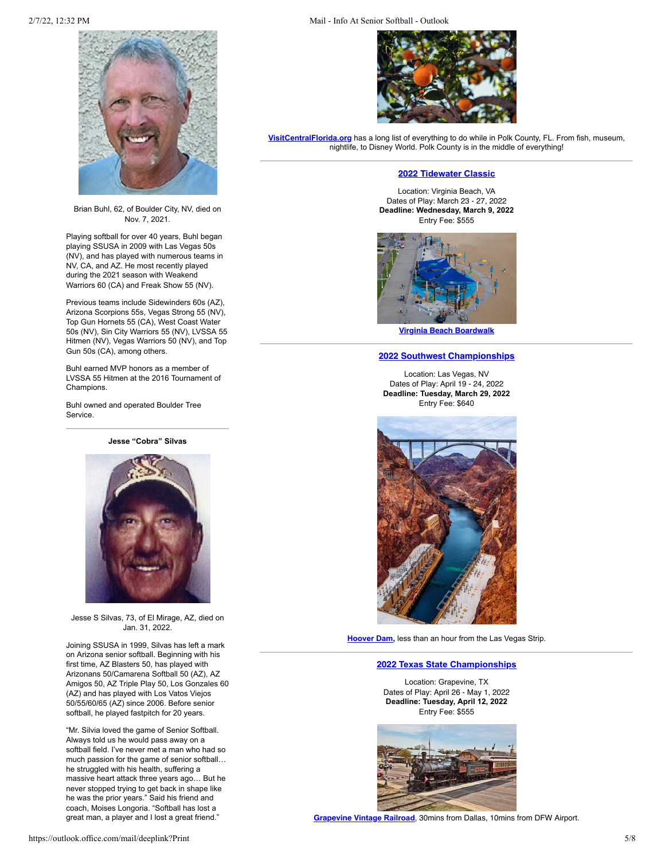

Brian Buhl, 62, of Boulder City, NV, died on Nov. 7, 2021.

Playing softball for over 40 years, Buhl began playing SSUSA in 2009 with Las Vegas 50s (NV), and has played with numerous teams in NV, CA, and AZ. He most recently played during the 2021 season with Weakend Warriors 60 (CA) and Freak Show 55 (NV).

Previous teams include Sidewinders 60s (AZ), Arizona Scorpions 55s, Vegas Strong 55 (NV), Top Gun Hornets 55 (CA), West Coast Water 50s (NV), Sin City Warriors 55 (NV), LVSSA 55 Hitmen (NV), Vegas Warriors 50 (NV), and Top Gun 50s (CA), among others.

Buhl earned MVP honors as a member of LVSSA 55 Hitmen at the 2016 Tournament of Champions.

Buhl owned and operated Boulder Tree Service.

**Jesse "Cobra" Silvas**



Jesse S Silvas, 73, of El Mirage, AZ, died on Jan. 31, 2022.

Joining SSUSA in 1999, Silvas has left a mark on Arizona senior softball. Beginning with his first time, AZ Blasters 50, has played with Arizonans 50/Camarena Softball 50 (AZ), AZ Amigos 50, AZ Triple Play 50, Los Gonzales 60 (AZ) and has played with Los Vatos Viejos 50/55/60/65 (AZ) since 2006. Before senior softball, he played fastpitch for 20 years.

"Mr. Silvia loved the game of Senior Softball. Always told us he would pass away on a softball field. I've never met a man who had so much passion for the game of senior softball… he struggled with his health, suffering a massive heart attack three years ago… But he never stopped trying to get back in shape like he was the prior years." Said his friend and coach, Moises Longoria. "Softball has lost a great man, a player and I lost a great friend."

2/7/22, 12:32 PM Mail - Info At Senior Softball - Outlook



**[VisitCentralFlorida.org](https://mandrillapp.com/track/click/30606666/visitcentralflorida.org?p=eyJzIjoidzFJZEpxZThVTmdrUl95M2pISzB0ZXo1ZXVrIiwidiI6MSwicCI6IntcInVcIjozMDYwNjY2NixcInZcIjoxLFwidXJsXCI6XCJodHRwczpcXFwvXFxcL3Zpc2l0Y2VudHJhbGZsb3JpZGEub3JnXFxcL3RoaW5ncy10by1kb1xcXC9cIixcImlkXCI6XCJiYzY4OTZmMjA5Yzk0ODNlYjczNWE1ZDg4ODZiNjAzY1wiLFwidXJsX2lkc1wiOltcImMwMDE2NTI5MTA4OWUxNDRkNjVmNTVkYzA3ZjExMWVlN2U1ZTA0NTZcIl19In0)** has a long list of everything to do while in Polk County, FL. From fish, museum, nightlife, to Disney World. Polk County is in the middle of everything!

# **2022 T[idewater Classic](https://mandrillapp.com/track/click/30606666/seniorsoftball.com?p=eyJzIjoiWXFZYThGbEZUV1p3OUQ2VmpDa0tjN08zWVNFIiwidiI6MSwicCI6IntcInVcIjozMDYwNjY2NixcInZcIjoxLFwidXJsXCI6XCJodHRwczpcXFwvXFxcL3NlbmlvcnNvZnRiYWxsLmNvbVxcXC8_ZXZlbnQ9MTY3NVwiLFwiaWRcIjpcImJjNjg5NmYyMDljOTQ4M2ViNzM1YTVkODg4NmI2MDNjXCIsXCJ1cmxfaWRzXCI6W1wiZTVlODFmZDI3OTg2ZjA3ZTkyYmU0MmZjNTVjNTIzOTM1NzI3MWM0OFwiXX0ifQ)**

Location: Virginia Beach, VA Dates of Play: March 23 - 27, 2022 **Deadline: Wednesday, March 9, 2022** Entry Fee: \$555



**V[irginia Beach Boardwalk](https://mandrillapp.com/track/click/30606666/www.visitvirginiabeach.com?p=eyJzIjoiSVdJbnZ4dDc0QmhNSkQzWjJnYTFCNWtZTElnIiwidiI6MSwicCI6IntcInVcIjozMDYwNjY2NixcInZcIjoxLFwidXJsXCI6XCJodHRwczpcXFwvXFxcL3d3dy52aXNpdHZpcmdpbmlhYmVhY2guY29tXFxcL2V4cGxvcmVcXFwvYXR0cmFjdGlvbnNcXFwvYm9hcmR3YWxrXFxcL1wiLFwiaWRcIjpcImJjNjg5NmYyMDljOTQ4M2ViNzM1YTVkODg4NmI2MDNjXCIsXCJ1cmxfaWRzXCI6W1wiOTE5OTc5NTMxOTQwMjk3NDRhYTVlMDI2ZGU4OGE4NGRiZWU1NzU1MFwiXX0ifQ)**

# **[2022 Southwest Championships](https://mandrillapp.com/track/click/30606666/seniorsoftball.com?p=eyJzIjoianhUTmVheXNmcHZUcmI3T2VySHVLOHdBNUhjIiwidiI6MSwicCI6IntcInVcIjozMDYwNjY2NixcInZcIjoxLFwidXJsXCI6XCJodHRwczpcXFwvXFxcL3NlbmlvcnNvZnRiYWxsLmNvbVxcXC8_ZXZlbnQ9MTY3NlwiLFwiaWRcIjpcImJjNjg5NmYyMDljOTQ4M2ViNzM1YTVkODg4NmI2MDNjXCIsXCJ1cmxfaWRzXCI6W1wiZTVlODFmZDI3OTg2ZjA3ZTkyYmU0MmZjNTVjNTIzOTM1NzI3MWM0OFwiXX0ifQ)**

Location: Las Vegas, NV Dates of Play: April 19 - 24, 2022 **Deadline: Tuesday, March 29, 2022** Entry Fee: \$640



**[Hoover Dam,](https://mandrillapp.com/track/click/30606666/travelnevada.com?p=eyJzIjoib0JMSjJrdEZwWUJOTkVnSXhnY244T3c0NGpFIiwidiI6MSwicCI6IntcInVcIjozMDYwNjY2NixcInZcIjoxLFwidXJsXCI6XCJodHRwczpcXFwvXFxcL3RyYXZlbG5ldmFkYS5jb21cXFwvaGlzdG9yaWNhbC1pbnRlcmVzdHNcXFwvaG9vdmVyLWRhbVxcXC9cIixcImlkXCI6XCJiYzY4OTZmMjA5Yzk0ODNlYjczNWE1ZDg4ODZiNjAzY1wiLFwidXJsX2lkc1wiOltcIjkxMzczNTJlZjk1NmRiNWIyZTMzNDFiMzdiMTJkMjhhNmU3Yzg5OTBcIl19In0)** less than an hour from the Las Vegas Strip.

#### **2022 T[exas State Championships](https://mandrillapp.com/track/click/30606666/seniorsoftball.com?p=eyJzIjoib3g1bE8xS3pFbVowZEx1WUJxNVI4V01zVnRJIiwidiI6MSwicCI6IntcInVcIjozMDYwNjY2NixcInZcIjoxLFwidXJsXCI6XCJodHRwczpcXFwvXFxcL3NlbmlvcnNvZnRiYWxsLmNvbVxcXC8_ZXZlbnQ9MTY3N1wiLFwiaWRcIjpcImJjNjg5NmYyMDljOTQ4M2ViNzM1YTVkODg4NmI2MDNjXCIsXCJ1cmxfaWRzXCI6W1wiZTVlODFmZDI3OTg2ZjA3ZTkyYmU0MmZjNTVjNTIzOTM1NzI3MWM0OFwiXX0ifQ)**

Location: Grapevine, TX Dates of Play: April 26 - May 1, 2022 **Deadline: Tuesday, April 12, 2022** Entry Fee: \$555



**Grapevine V[intage Railroad](https://mandrillapp.com/track/click/30606666/www.grapevinetexasusa.com?p=eyJzIjoiWUZpQVJrQ3JoMUd3N0FNdTFSNGVzSnZfMTJZIiwidiI6MSwicCI6IntcInVcIjozMDYwNjY2NixcInZcIjoxLFwidXJsXCI6XCJodHRwczpcXFwvXFxcL3d3dy5ncmFwZXZpbmV0ZXhhc3VzYS5jb21cXFwvZ3JhcGV2aW5lLXZpbnRhZ2UtcmFpbHJvYWRcXFwvXCIsXCJpZFwiOlwiYmM2ODk2ZjIwOWM5NDgzZWI3MzVhNWQ4ODg2YjYwM2NcIixcInVybF9pZHNcIjpbXCI1MjYwYmNkZGQ5MWQxMzc3NWEzNWY2NWRlNTVkNmM0OTZmNmVmZDYxXCJdfSJ9)**, 30mins from Dallas, 10mins from DFW Airport.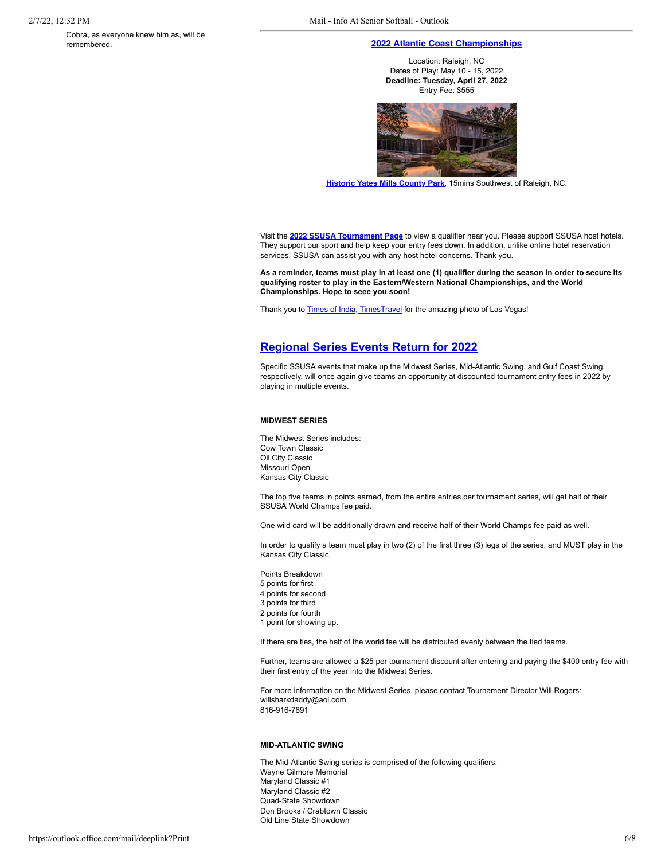Cobra, as everyone knew him as, will be remembered.

### **[2022 Atlantic Coast Championships](https://mandrillapp.com/track/click/30606666/seniorsoftball.com?p=eyJzIjoic3ZzWnlCWTdKUUZ4d1QwMEZJdkx6dVVxYUI0IiwidiI6MSwicCI6IntcInVcIjozMDYwNjY2NixcInZcIjoxLFwidXJsXCI6XCJodHRwczpcXFwvXFxcL3NlbmlvcnNvZnRiYWxsLmNvbVxcXC8_ZXZlbnQ9MTY3OFwiLFwiaWRcIjpcImJjNjg5NmYyMDljOTQ4M2ViNzM1YTVkODg4NmI2MDNjXCIsXCJ1cmxfaWRzXCI6W1wiZTVlODFmZDI3OTg2ZjA3ZTkyYmU0MmZjNTVjNTIzOTM1NzI3MWM0OFwiXX0ifQ)**

Location: Raleigh, NC Dates of Play: May 10 - 15, 2022 **Deadline: Tuesday, April 27, 2022** Entry Fee: \$555



**[Historic Yates Mills County Park](https://mandrillapp.com/track/click/30606666/www.visitraleigh.com?p=eyJzIjoiT2YtcEpWVDBuWWoyYklvZmM0elpJbG9uVlZnIiwidiI6MSwicCI6IntcInVcIjozMDYwNjY2NixcInZcIjoxLFwidXJsXCI6XCJodHRwczpcXFwvXFxcL3d3dy52aXNpdHJhbGVpZ2guY29tXFxcL3BsYW4tYS10cmlwXFxcL3Zpc2l0cmFsZWlnaC1pbnNpZGVyLWJsb2dcXFwvcG9zdFxcXC90aGUtYmVzdC1oaXN0b3JpYy1zaXRlcy10by12aXNpdC1pbi1yYWxlaWdoLW5jXFxcL1wiLFwiaWRcIjpcImJjNjg5NmYyMDljOTQ4M2ViNzM1YTVkODg4NmI2MDNjXCIsXCJ1cmxfaWRzXCI6W1wiZjhhYzg2MDEyMGQxZGQyODE2OWUxOGMxYjM5MDUyM2Q5YzkyNzk5ZFwiXX0ifQ)**, 15mins Southwest of Raleigh, NC.

Visit the **2022 SSUSA T[ournament Page](https://mandrillapp.com/track/click/30606666/seniorsoftball.com?p=eyJzIjoiZGpBUzVwM0l1a3F1THZweTI0UEVfTTc5VVlFIiwidiI6MSwicCI6IntcInVcIjozMDYwNjY2NixcInZcIjoxLFwidXJsXCI6XCJodHRwczpcXFwvXFxcL3NlbmlvcnNvZnRiYWxsLmNvbVxcXC8_ZXZlbnRzXCIsXCJpZFwiOlwiYmM2ODk2ZjIwOWM5NDgzZWI3MzVhNWQ4ODg2YjYwM2NcIixcInVybF9pZHNcIjpbXCJlNWU4MWZkMjc5ODZmMDdlOTJiZTQyZmM1NWM1MjM5MzU3MjcxYzQ4XCJdfSJ9)** to view a qualifier near you. Please support SSUSA host hotels. They support our sport and help keep your entry fees down. In addition, unlike online hotel reservation services, SSUSA can assist you with any host hotel concerns. Thank you.

**As a reminder, teams must play in at least one (1) qualifier during the season in order to secure its qualifying roster to play in the Eastern/Western National Championships, and the World Championships. Hope to seee you soon!**

Thank you to **[Times of India, TimesTravel](https://mandrillapp.com/track/click/30606666/timesofindia.indiatimes.com?p=eyJzIjoiZm5ITVNJSmh2TkpaTjNmZkRzMHgweWZNTW1nIiwidiI6MSwicCI6IntcInVcIjozMDYwNjY2NixcInZcIjoxLFwidXJsXCI6XCJodHRwczpcXFwvXFxcL3RpbWVzb2ZpbmRpYS5pbmRpYXRpbWVzLmNvbVxcXC90cmF2ZWxcXFwvZGVzdGluYXRpb25zXFxcL3RoZS13b25kZXJzLW9mLWxhcy12ZWdhc1xcXC9waG90b3N0b3J5XFxcLzgxMjg0MzI3LmNtc1wiLFwiaWRcIjpcImJjNjg5NmYyMDljOTQ4M2ViNzM1YTVkODg4NmI2MDNjXCIsXCJ1cmxfaWRzXCI6W1wiNWVlYzMwNGU3MWM3MDg2NDIyMzE4YWNjNTc3YjhmNzBiMjk5NzNlOFwiXX0ifQ)** for the amazing photo of Las Vegas!

# <span id="page-5-0"></span>**[Regional Series Events Return for 2022](https://mandrillapp.com/track/click/30606666/seniorsoftball.com?p=eyJzIjoiMTdPcDJZazdQSzNMMC1wSzZFNWpQOEltYTNBIiwidiI6MSwicCI6IntcInVcIjozMDYwNjY2NixcInZcIjoxLFwidXJsXCI6XCJodHRwczpcXFwvXFxcL3NlbmlvcnNvZnRiYWxsLmNvbVxcXC8_bmV3cyZzdG9yeT0xODY5XCIsXCJpZFwiOlwiYmM2ODk2ZjIwOWM5NDgzZWI3MzVhNWQ4ODg2YjYwM2NcIixcInVybF9pZHNcIjpbXCJlNWU4MWZkMjc5ODZmMDdlOTJiZTQyZmM1NWM1MjM5MzU3MjcxYzQ4XCJdfSJ9)**

Specific SSUSA events that make up the Midwest Series, Mid-Atlantic Swing, and Gulf Coast Swing, respectively, will once again give teams an opportunity at discounted tournament entry fees in 2022 by playing in multiple events.

#### **MIDWEST SERIES**

The Midwest Series includes: Cow Town Classic Oil City Classic Missouri Open Kansas City Classic

The top five teams in points earned, from the entire entries per tournament series, will get half of their SSUSA World Champs fee paid.

One wild card will be additionally drawn and receive half of their World Champs fee paid as well.

In order to qualify a team must play in two (2) of the first three (3) legs of the series, and MUST play in the Kansas City Classic.

- Points Breakdown
- 5 points for first
- 4 points for second 3 points for third
- 2 points for fourth
- 1 point for showing up.

If there are ties, the half of the world fee will be distributed evenly between the tied teams.

Further, teams are allowed a \$25 per tournament discount after entering and paying the \$400 entry fee with their first entry of the year into the Midwest Series.

For more information on the Midwest Series, please contact Tournament Director Will Rogers: willsharkdaddy@aol.com 816-916-7891

#### **MID-ATLANTIC SWING**

The Mid-Atlantic Swing series is comprised of the following qualifiers: Wayne Gilmore Memorial Maryland Classic #1 Maryland Classic #2 Quad-State Showdown Don Brooks / Crabtown Classic Old Line State Showdown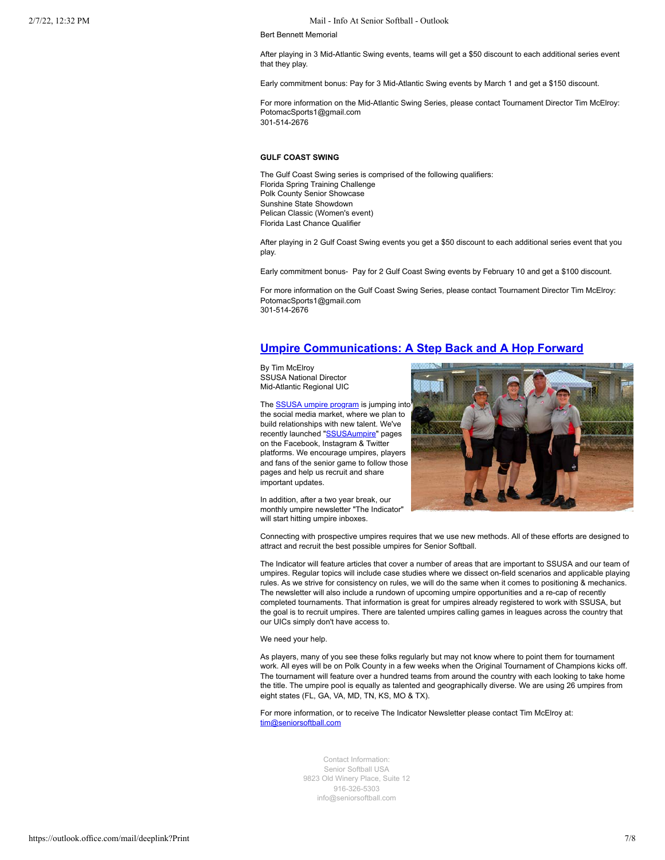#### 2/7/22, 12:32 PM Mail - Info At Senior Softball - Outlook

Bert Bennett Memorial

After playing in 3 Mid-Atlantic Swing events, teams will get a \$50 discount to each additional series event that they play.

Early commitment bonus: Pay for 3 Mid-Atlantic Swing events by March 1 and get a \$150 discount.

For more information on the Mid-Atlantic Swing Series, please contact Tournament Director Tim McElroy: PotomacSports1@gmail.com 301-514-2676

# **GULF COAST SWING**

The Gulf Coast Swing series is comprised of the following qualifiers: Florida Spring Training Challenge Polk County Senior Showcase Sunshine State Showdown Pelican Classic (Women's event) Florida Last Chance Qualifier

After playing in 2 Gulf Coast Swing events you get a \$50 discount to each additional series event that you play.

Early commitment bonus- Pay for 2 Gulf Coast Swing events by February 10 and get a \$100 discount.

For more information on the Gulf Coast Swing Series, please contact Tournament Director Tim McElroy: PotomacSports1@gmail.com 301-514-2676

# <span id="page-6-0"></span>**[Umpire Communications: A Step Back and A Hop Forward](https://mandrillapp.com/track/click/30606666/seniorsoftball.com?p=eyJzIjoia2hhcGdqa2NSV1o1NGxPZmZqa3BSNHJ4UEpBIiwidiI6MSwicCI6IntcInVcIjozMDYwNjY2NixcInZcIjoxLFwidXJsXCI6XCJodHRwczpcXFwvXFxcL3NlbmlvcnNvZnRiYWxsLmNvbVxcXC8_bmV3cyZzdG9yeT0xODY4XCIsXCJpZFwiOlwiYmM2ODk2ZjIwOWM5NDgzZWI3MzVhNWQ4ODg2YjYwM2NcIixcInVybF9pZHNcIjpbXCJlNWU4MWZkMjc5ODZmMDdlOTJiZTQyZmM1NWM1MjM5MzU3MjcxYzQ4XCJdfSJ9)**

By Tim McElroy SSUSA National Director Mid-Atlantic Regional UIC

The [SSUSA umpire program](https://mandrillapp.com/track/click/30606666/seniorsoftball.com?p=eyJzIjoiUWFiOGFFWUJSQjFfWHA3LTF1YkRyZnNZNXlnIiwidiI6MSwicCI6IntcInVcIjozMDYwNjY2NixcInZcIjoxLFwidXJsXCI6XCJodHRwOlxcXC9cXFwvc2VuaW9yc29mdGJhbGwuY29tXFxcLz9wYWdlPThcIixcImlkXCI6XCJiYzY4OTZmMjA5Yzk0ODNlYjczNWE1ZDg4ODZiNjAzY1wiLFwidXJsX2lkc1wiOltcIjc3OWM1MDMwNjQzZjNjMTA2NTA0Zjg1ODIwMWVhN2NiM2FkN2MzNTJcIl19In0) is jumping into the social media market, where we plan to build relationships with new talent. We've recently launched ["SSUSAumpire](https://mandrillapp.com/track/click/30606666/www.facebook.com?p=eyJzIjoiZmMzdHhzdmlnT0lGN3NzY1VCem93QVZaR2VRIiwidiI6MSwicCI6IntcInVcIjozMDYwNjY2NixcInZcIjoxLFwidXJsXCI6XCJodHRwOlxcXC9cXFwvd3d3LmZhY2Vib29rLmNvbVxcXC9TU1VTQXVtcGlyZVxcXC9cIixcImlkXCI6XCJiYzY4OTZmMjA5Yzk0ODNlYjczNWE1ZDg4ODZiNjAzY1wiLFwidXJsX2lkc1wiOltcIjg2ZGFlNjIzMWJmN2QzNGZiNzExZDZkZjYzYzEyYmM0MjIyYTI5ZGNcIl19In0)" pages on the Facebook, Instagram & Twitter platforms. We encourage umpires, players and fans of the senior game to follow those pages and help us recruit and share important updates.

In addition, after a two year break, our monthly umpire newsletter "The Indicator" will start hitting umpire inboxes.



Connecting with prospective umpires requires that we use new methods. All of these efforts are designed to attract and recruit the best possible umpires for Senior Softball.

The Indicator will feature articles that cover a number of areas that are important to SSUSA and our team of umpires. Regular topics will include case studies where we dissect on-field scenarios and applicable playing rules. As we strive for consistency on rules, we will do the same when it comes to positioning & mechanics. The newsletter will also include a rundown of upcoming umpire opportunities and a re-cap of recently completed tournaments. That information is great for umpires already registered to work with SSUSA, but the goal is to recruit umpires. There are talented umpires calling games in leagues across the country that our UICs simply don't have access to.

We need your help.

As players, many of you see these folks regularly but may not know where to point them for tournament work. All eyes will be on Polk County in a few weeks when the Original Tournament of Champions kicks off. The tournament will feature over a hundred teams from around the country with each looking to take home the title. The umpire pool is equally as talented and geographically diverse. We are using 26 umpires from eight states (FL, GA, VA, MD, TN, KS, MO & TX).

For more information, or to receive The Indicator Newsletter please contact Tim McElroy at: [tim@seniorsoftball.com](mailto:tim@seniorsoftball.com)

> Contact Information: Senior Softball USA 9823 Old Winery Place, Suite 12 916-326-5303 [info@seniorsoftball.com](mailto:info@seniorsoftball.com)